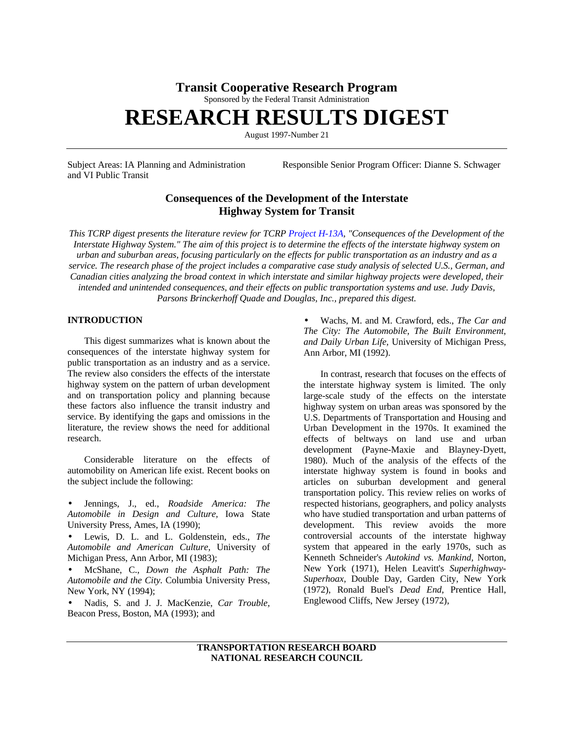# **Transit Cooperative Research Program**

Sponsored by the Federal Transit Administration

# **RESEARCH RESULTS DIGEST**

August 1997-Number 21

and VI Public Transit

Subject Areas: IA Planning and Administration Responsible Senior Program Officer: Dianne S. Schwager

# **Consequences of the Development of the Interstate Highway System for Transit**

*This TCRP digest presents the literature review for TCR[P Project H-13A,](http://www4.nationalacademies.org/trb/crp.nsf/All+Projects/TCRP+H-13A) "Consequences of the Development of the Interstate Highway System." The aim of this project is to determine the effects of the interstate highway system on urban and suburban areas, focusing particularly on the effects for public transportation as an industry and as a service. The research phase of the project includes a comparative case study analysis of selected U.S., German, and Canadian cities analyzing the broad context in which interstate and similar highway projects were developed, their intended and unintended consequences, and their effects on public transportation systems and use. Judy Davis, Parsons Brinckerhoff Quade and Douglas, Inc., prepared this digest.*

# **INTRODUCTION**

This digest summarizes what is known about the consequences of the interstate highway system for public transportation as an industry and as a service. The review also considers the effects of the interstate highway system on the pattern of urban development and on transportation policy and planning because these factors also influence the transit industry and service. By identifying the gaps and omissions in the literature, the review shows the need for additional research.

Considerable literature on the effects of automobility on American life exist. Recent books on the subject include the following:

• Jennings, J., ed., *Roadside America: The Automobile in Design and Culture,* Iowa State University Press, Ames, IA (1990);

• Lewis, D. L. and L. Goldenstein, eds., *The Automobile and American Culture,* University of Michigan Press, Ann Arbor, MI (1983);

• McShane, C., *Down the Asphalt Path: The Automobile and the City.* Columbia University Press, New York, NY (1994);

• Nadis, S. and J. J. MacKenzie, *Car Trouble,* Beacon Press, Boston, MA (1993); and

• Wachs, M. and M. Crawford, eds., *The Car and The City: The Automobile, The Built Environment, and Daily Urban Life,* University of Michigan Press, Ann Arbor, MI (1992).

In contrast, research that focuses on the effects of the interstate highway system is limited. The only large-scale study of the effects on the interstate highway system on urban areas was sponsored by the U.S. Departments of Transportation and Housing and Urban Development in the 1970s. It examined the effects of beltways on land use and urban development (Payne-Maxie and Blayney-Dyett, 1980). Much of the analysis of the effects of the interstate highway system is found in books and articles on suburban development and general transportation policy. This review relies on works of respected historians, geographers, and policy analysts who have studied transportation and urban patterns of development. This review avoids the more controversial accounts of the interstate highway system that appeared in the early 1970s, such as Kenneth Schneider's *Autokind vs. Mankind,* Norton, New York (1971), Helen Leavitt's *Superhighway-Superhoax,* Double Day, Garden City, New York (1972), Ronald Buel's *Dead End,* Prentice Hall, Englewood Cliffs, New Jersey (1972),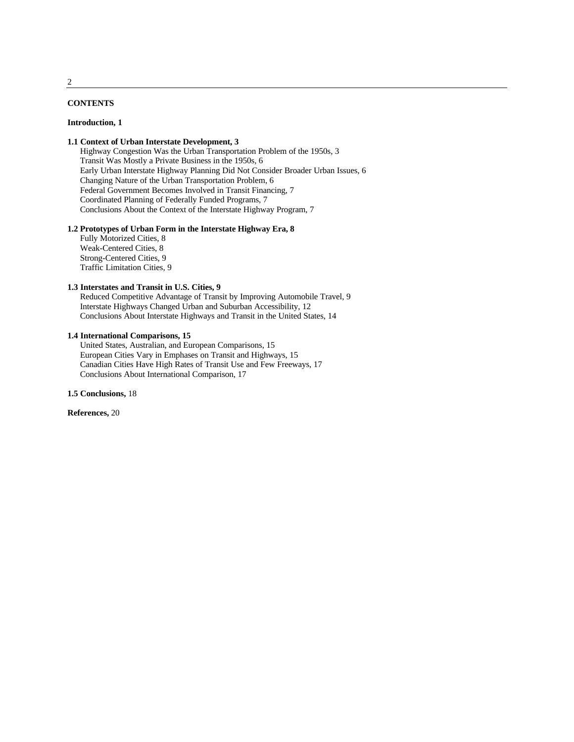# **CONTENTS**

#### **Introduction, 1**

# **1.1 Context of Urban Interstate Development, 3**

Highway Congestion Was the Urban Transportation Problem of the 1950s, 3 Transit Was Mostly a Private Business in the 1950s, 6 Early Urban Interstate Highway Planning Did Not Consider Broader Urban Issues, 6 Changing Nature of the Urban Transportation Problem, 6 Federal Government Becomes Involved in Transit Financing, 7 Coordinated Planning of Federally Funded Programs, 7 Conclusions About the Context of the Interstate Highway Program, 7

#### **1.2 Prototypes of Urban Form in the Interstate Highway Era, 8**

Fully Motorized Cities, 8 Weak-Centered Cities, 8 Strong-Centered Cities, 9 Traffic Limitation Cities, 9

# **1.3 Interstates and Transit in U.S. Cities, 9**

Reduced Competitive Advantage of Transit by Improving Automobile Travel, 9 Interstate Highways Changed Urban and Suburban Accessibility, 12 Conclusions About Interstate Highways and Transit in the United States, 14

#### **1.4 International Comparisons, 15**

United States, Australian, and European Comparisons, 15 European Cities Vary in Emphases on Transit and Highways, 15 Canadian Cities Have High Rates of Transit Use and Few Freeways, 17 Conclusions About International Comparison, 17

**1.5 Conclusions,** 18

## **References,** 20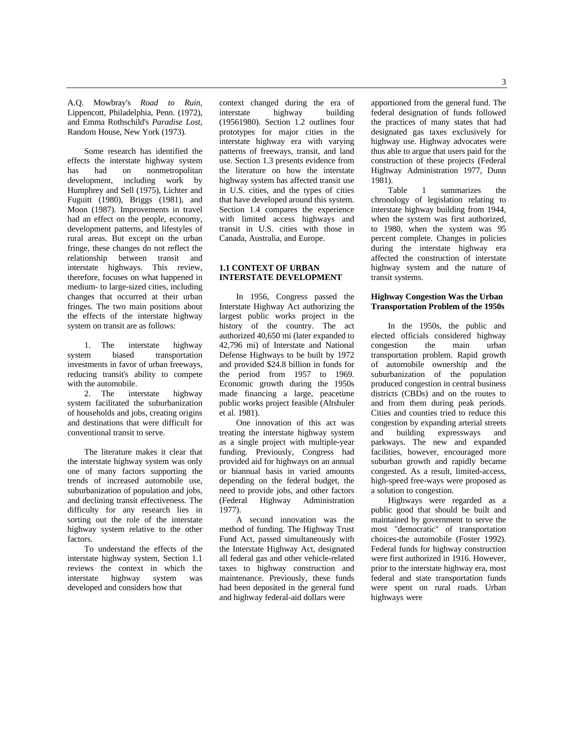A.Q. Mowbray's *Road to Ruin,* Lippencott, Philadelphia, Penn. (1972), and Emma Rothschild's *Paradise Lost,* Random House, New York (1973).

Some research has identified the effects the interstate highway system has had on nonmetropolitan development, including work by Humphrey and Sell (1975), Lichter and Fuguitt (1980), Briggs (1981), and Moon (1987). Improvements in travel had an effect on the people, economy, development patterns, and lifestyles of rural areas. But except on the urban fringe, these changes do not reflect the relationship between transit and interstate highways. This review, therefore, focuses on what happened in medium- to large-sized cities, including changes that occurred at their urban fringes. The two main positions about the effects of the interstate highway system on transit are as follows:

1. The interstate highway<br>system biased transportation biased transportation investments in favor of urban freeways, reducing transit's ability to compete with the automobile.

2. The interstate highway system facilitated the suburbanization of households and jobs, creating origins and destinations that were difficult for conventional transit to serve.

The literature makes it clear that the interstate highway system was only one of many factors supporting the trends of increased automobile use, suburbanization of population and jobs, and declining transit effectiveness. The difficulty for any research lies in sorting out the role of the interstate highway system relative to the other factors.

To understand the effects of the interstate highway system, Section 1.1 reviews the context in which the interstate highway system was developed and considers how that

context changed during the era of<br>interstate highway building interstate highway (19561980). Section 1.2 outlines four prototypes for major cities in the interstate highway era with varying patterns of freeways, transit, and land use. Section 1.3 presents evidence from the literature on how the interstate highway system has affected transit use in U.S. cities, and the types of cities that have developed around this system. Section 1.4 compares the experience with limited access highways and transit in U.S. cities with those in Canada, Australia, and Europe.

# **1.1 CONTEXT OF URBAN INTERSTATE DEVELOPMENT**

In 1956, Congress passed the Interstate Highway Act authorizing the largest public works project in the history of the country. The act authorized 40,650 mi (later expanded to 42,796 mi) of Interstate and National Defense Highways to be built by 1972 and provided \$24.8 billion in funds for the period from 1957 to 1969. Economic growth during the 1950s made financing a large, peacetime public works project feasible (Altshuler et al. 1981).

One innovation of this act was treating the interstate highway system as a single project with multiple-year funding. Previously, Congress had provided aid for highways on an annual or biannual basis in varied amounts depending on the federal budget, the need to provide jobs, and other factors (Federal Highway Administration 1977).

A second innovation was the method of funding. The Highway Trust Fund Act, passed simultaneously with the Interstate Highway Act, designated all federal gas and other vehicle-related taxes to highway construction and maintenance. Previously, these funds had been deposited in the general fund and highway federal-aid dollars were

apportioned from the general fund. The federal designation of funds followed the practices of many states that had designated gas taxes exclusively for highway use. Highway advocates were thus able to argue that users paid for the construction of these projects (Federal Highway Administration 1977, Dunn 1981).

Table 1 summarizes the chronology of legislation relating to interstate highway building from 1944, when the system was first authorized, to 1980, when the system was 95 percent complete. Changes in policies during the interstate highway era affected the construction of interstate highway system and the nature of transit systems.

# **Highway Congestion Was the Urban Transportation Problem of the 1950s**

In the 1950s, the public and elected officials considered highway congestion the main urban transportation problem. Rapid growth of automobile ownership and the suburbanization of the population produced congestion in central business districts (CBDs) and on the routes to and from them during peak periods. Cities and counties tried to reduce this congestion by expanding arterial streets and building expressways and parkways. The new and expanded facilities, however, encouraged more suburban growth and rapidly became congested. As a result, limited-access, high-speed free-ways were proposed as a solution to congestion.

Highways were regarded as a public good that should be built and maintained by government to serve the most "democratic" of transportation choices-the automobile (Foster 1992). Federal funds for highway construction were first authorized in 1916. However, prior to the interstate highway era, most federal and state transportation funds were spent on rural roads. Urban highways were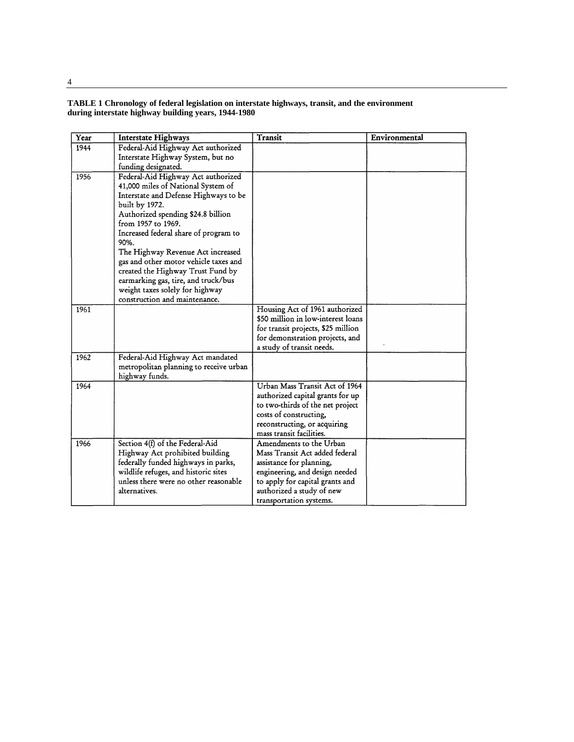# **TABLE 1 Chronology of federal legislation on interstate highways, transit, and the environment during interstate highway building years, 1944-1980**

| Transit<br>Environmental<br>Year<br><b>Interstate Highways</b>           |  |
|--------------------------------------------------------------------------|--|
| Federal-Aid Highway Act authorized<br>1944                               |  |
| Interstate Highway System, but no                                        |  |
| funding designated.                                                      |  |
| Federal-Aid Highway Act authorized<br>1956                               |  |
| 41,000 miles of National System of                                       |  |
| Interstate and Defense Highways to be                                    |  |
| built by 1972.                                                           |  |
| Authorized spending \$24.8 billion                                       |  |
| from 1957 to 1969.                                                       |  |
| Increased federal share of program to                                    |  |
| 90%.                                                                     |  |
| The Highway Revenue Act increased                                        |  |
| gas and other motor vehicle taxes and                                    |  |
| created the Highway Trust Fund by                                        |  |
| earmarking gas, tire, and truck/bus                                      |  |
| weight taxes solely for highway                                          |  |
| construction and maintenance.                                            |  |
| Housing Act of 1961 authorized<br>1961                                   |  |
| \$50 million in low-interest loans                                       |  |
| for transit projects, \$25 million                                       |  |
| for demonstration projects, and                                          |  |
| a study of transit needs.                                                |  |
| Federal-Aid Highway Act mandated<br>1962                                 |  |
| metropolitan planning to receive urban                                   |  |
| highway funds.<br>Urban Mass Transit Act of 1964                         |  |
| 1964                                                                     |  |
| authorized capital grants for up                                         |  |
| to two-thirds of the net project<br>costs of constructing,               |  |
| reconstructing, or acquiring                                             |  |
| mass transit facilities.                                                 |  |
| Section 4(f) of the Federal-Aid<br>Amendments to the Urban<br>1966       |  |
| Highway Act prohibited building<br>Mass Transit Act added federal        |  |
| federally funded highways in parks,<br>assistance for planning,          |  |
| wildlife refuges, and historic sites<br>engineering, and design needed   |  |
| unless there were no other reasonable<br>to apply for capital grants and |  |
| alternatives.<br>authorized a study of new                               |  |
| transportation systems.                                                  |  |

4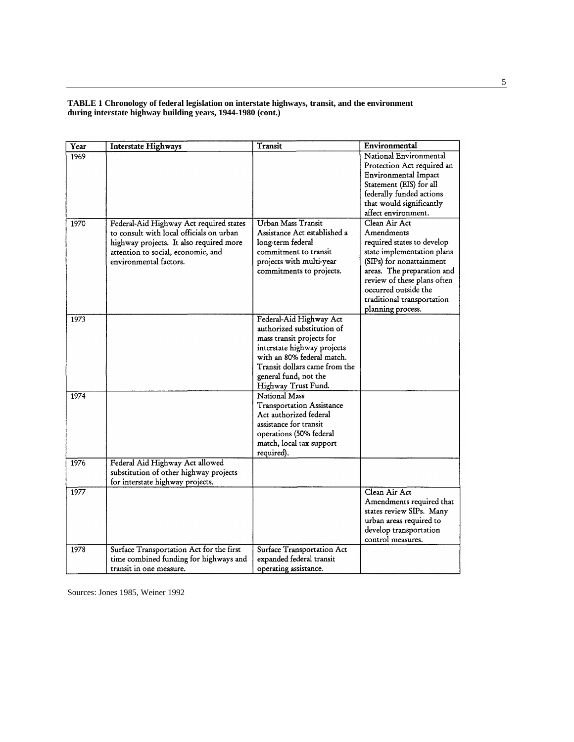# **TABLE 1 Chronology of federal legislation on interstate highways, transit, and the environment during interstate highway building years, 1944-1980 (cont.)**

| Year | <b>Interstate Highways</b>               | Transit                          | Environmental               |
|------|------------------------------------------|----------------------------------|-----------------------------|
| 1969 |                                          |                                  | National Environmental      |
|      |                                          |                                  | Protection Act required an  |
|      |                                          |                                  | Environmental Impact        |
|      |                                          |                                  | Statement (EIS) for all     |
|      |                                          |                                  | federally funded actions    |
|      |                                          |                                  | that would significantly    |
|      |                                          |                                  | affect environment.         |
| 1970 | Federal-Aid Highway Act required states  | Urban Mass Transit               | Clean Air Act               |
|      | to consult with local officials on urban | Assistance Act established a     | Amendments                  |
|      | highway projects. It also required more  | long-term federal                | required states to develop  |
|      | attention to social, economic, and       | commitment to transit            | state implementation plans  |
|      | environmental factors.                   | projects with multi-year         | (SIPs) for nonattainment    |
|      |                                          | commitments to projects.         | areas. The preparation and  |
|      |                                          |                                  | review of these plans often |
|      |                                          |                                  | occurred outside the        |
|      |                                          |                                  | traditional transportation  |
|      |                                          |                                  | planning process.           |
| 1973 |                                          | Federal-Aid Highway Act          |                             |
|      |                                          | authorized substitution of       |                             |
|      |                                          | mass transit projects for        |                             |
|      |                                          | interstate highway projects      |                             |
|      |                                          | with an 80% federal match.       |                             |
|      |                                          | Transit dollars came from the    |                             |
|      |                                          | general fund, not the            |                             |
|      |                                          | Highway Trust Fund.              |                             |
| 1974 |                                          | National Mass                    |                             |
|      |                                          | <b>Transportation Assistance</b> |                             |
|      |                                          | Act authorized federal           |                             |
|      |                                          | assistance for transit           |                             |
|      |                                          | operations (50% federal          |                             |
|      |                                          | match, local tax support         |                             |
|      |                                          | required).                       |                             |
| 1976 | Federal Aid Highway Act allowed          |                                  |                             |
|      | substitution of other highway projects   |                                  |                             |
|      | for interstate highway projects.         |                                  |                             |
| 1977 |                                          |                                  | Clean Air Act               |
|      |                                          |                                  | Amendments required that    |
|      |                                          |                                  | states review SIPs. Many    |
|      |                                          |                                  | urban areas required to     |
|      |                                          |                                  | develop transportation      |
|      |                                          |                                  | control measures.           |
| 1978 | Surface Transportation Act for the first | Surface Transportation Act       |                             |
|      | time combined funding for highways and   | expanded federal transit         |                             |
|      | transit in one measure.                  | operating assistance.            |                             |

Sources: Jones 1985, Weiner 1992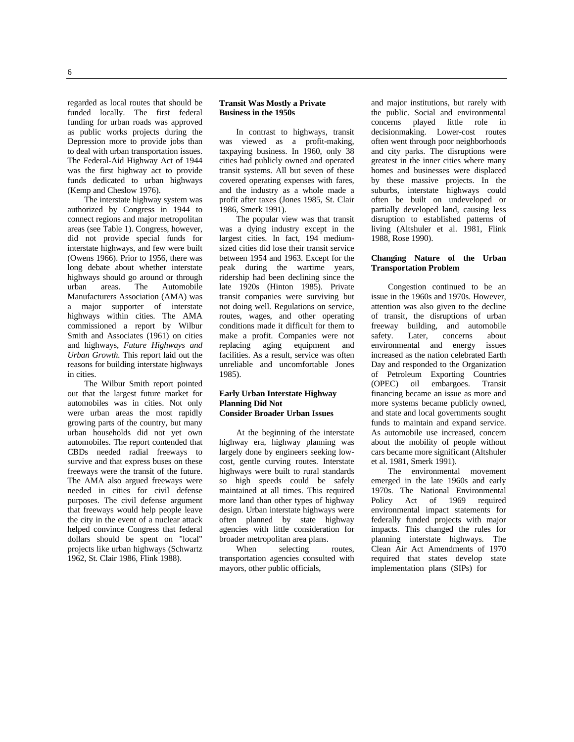regarded as local routes that should be funded locally. The first federal funding for urban roads was approved as public works projects during the Depression more to provide jobs than to deal with urban transportation issues. The Federal-Aid Highway Act of 1944 was the first highway act to provide funds dedicated to urban highways (Kemp and Cheslow 1976).

The interstate highway system was authorized by Congress in 1944 to connect regions and major metropolitan areas (see Table 1). Congress, however, did not provide special funds for interstate highways, and few were built (Owens 1966). Prior to 1956, there was long debate about whether interstate highways should go around or through urban areas. The Automobile Manufacturers Association (AMA) was a major supporter of interstate highways within cities. The AMA commissioned a report by Wilbur Smith and Associates (1961) on cities and highways, *Future Highways and Urban Growth.* This report laid out the reasons for building interstate highways in cities.

The Wilbur Smith report pointed out that the largest future market for automobiles was in cities. Not only were urban areas the most rapidly growing parts of the country, but many urban households did not yet own automobiles. The report contended that CBDs needed radial freeways to survive and that express buses on these freeways were the transit of the future. The AMA also argued freeways were needed in cities for civil defense purposes. The civil defense argument that freeways would help people leave the city in the event of a nuclear attack helped convince Congress that federal dollars should be spent on "local" projects like urban highways (Schwartz 1962, St. Clair 1986, Flink 1988).

#### **Transit Was Mostly a Private Business in the 1950s**

In contrast to highways, transit was viewed as a profit-making, taxpaying business. In 1960, only 38 cities had publicly owned and operated transit systems. All but seven of these covered operating expenses with fares, and the industry as a whole made a profit after taxes (Jones 1985, St. Clair 1986, Smerk 1991).

The popular view was that transit was a dying industry except in the largest cities. In fact, 194 mediumsized cities did lose their transit service between 1954 and 1963. Except for the peak during the wartime years, ridership had been declining since the late 1920s (Hinton 1985). Private transit companies were surviving but not doing well. Regulations on service, routes, wages, and other operating conditions made it difficult for them to make a profit. Companies were not replacing aging equipment and facilities. As a result, service was often unreliable and uncomfortable Jones 1985).

#### **Early Urban Interstate Highway Planning Did Not Consider Broader Urban Issues**

At the beginning of the interstate highway era, highway planning was largely done by engineers seeking lowcost, gentle curving routes. Interstate highways were built to rural standards so high speeds could be safely maintained at all times. This required more land than other types of highway design. Urban interstate highways were often planned by state highway agencies with little consideration for broader metropolitan area plans.

When selecting routes, transportation agencies consulted with mayors, other public officials,

and major institutions, but rarely with the public. Social and environmental concerns played little role in decisionmaking. Lower-cost routes often went through poor neighborhoods and city parks. The disruptions were greatest in the inner cities where many homes and businesses were displaced by these massive projects. In the suburbs, interstate highways could often be built on undeveloped or partially developed land, causing less disruption to established patterns of living (Altshuler et al. 1981, Flink 1988, Rose 1990).

# **Changing Nature of the Urban Transportation Problem**

Congestion continued to be an issue in the 1960s and 1970s. However, attention was also given to the decline of transit, the disruptions of urban freeway building, and automobile safety. Later, concerns about environmental and energy issues increased as the nation celebrated Earth Day and responded to the Organization of Petroleum Exporting Countries (OPEC) oil embargoes. Transit financing became an issue as more and more systems became publicly owned, and state and local governments sought funds to maintain and expand service. As automobile use increased, concern about the mobility of people without cars became more significant (Altshuler et al. 1981, Smerk 1991).

The environmental movement emerged in the late 1960s and early 1970s. The National Environmental<br>Policy Act of 1969 required Act of 1969 required environmental impact statements for federally funded projects with major impacts. This changed the rules for planning interstate highways. The Clean Air Act Amendments of 1970 required that states develop state implementation plans (SIPs) for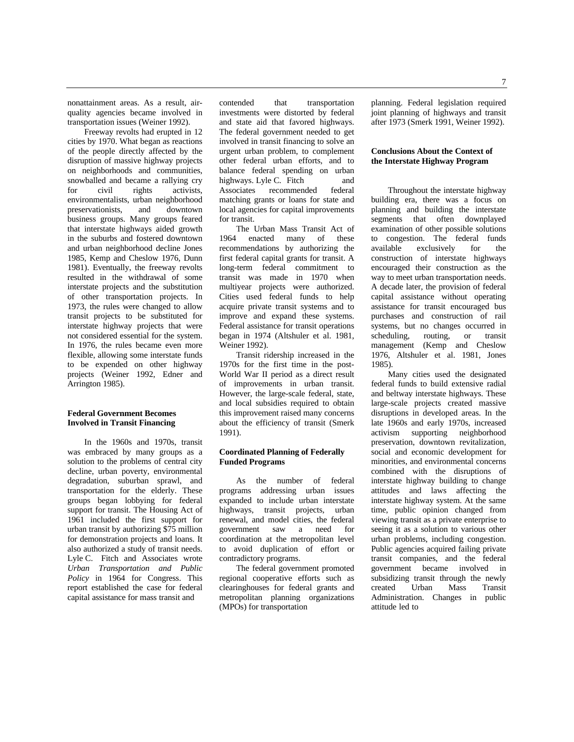nonattainment areas. As a result, airquality agencies became involved in transportation issues (Weiner 1992).

Freeway revolts had erupted in 12 cities by 1970. What began as reactions of the people directly affected by the disruption of massive highway projects on neighborhoods and communities, snowballed and became a rallying cry for civil rights activists, environmentalists, urban neighborhood preservationists, and downtown business groups. Many groups feared that interstate highways aided growth in the suburbs and fostered downtown and urban neighborhood decline Jones 1985, Kemp and Cheslow 1976, Dunn 1981). Eventually, the freeway revolts resulted in the withdrawal of some interstate projects and the substitution of other transportation projects. In 1973, the rules were changed to allow transit projects to be substituted for interstate highway projects that were not considered essential for the system. In 1976, the rules became even more flexible, allowing some interstate funds to be expended on other highway projects (Weiner 1992, Edner and Arrington 1985).

# **Federal Government Becomes Involved in Transit Financing**

In the 1960s and 1970s, transit was embraced by many groups as a solution to the problems of central city decline, urban poverty, environmental degradation, suburban sprawl, and transportation for the elderly. These groups began lobbying for federal support for transit. The Housing Act of 1961 included the first support for urban transit by authorizing \$75 million for demonstration projects and loans. It also authorized a study of transit needs. Lyle C. Fitch and Associates wrote *Urban Transportation and Public Policy* in 1964 for Congress. This report established the case for federal capital assistance for mass transit and

contended that transportation investments were distorted by federal and state aid that favored highways. The federal government needed to get involved in transit financing to solve an urgent urban problem, to complement other federal urban efforts, and to balance federal spending on urban highways. Lyle C. Fitch and Associates recommended federal matching grants or loans for state and local agencies for capital improvements for transit.

The Urban Mass Transit Act of 1964 enacted many of these recommendations by authorizing the first federal capital grants for transit. A long-term federal commitment to transit was made in 1970 when multiyear projects were authorized. Cities used federal funds to help acquire private transit systems and to improve and expand these systems. Federal assistance for transit operations began in 1974 (Altshuler et al. 1981, Weiner 1992).

Transit ridership increased in the 1970s for the first time in the post-World War II period as a direct result of improvements in urban transit. However, the large-scale federal, state, and local subsidies required to obtain this improvement raised many concerns about the efficiency of transit (Smerk 1991).

# **Coordinated Planning of Federally Funded Programs**

As the number of federal programs addressing urban issues expanded to include urban interstate highways, transit projects, urban renewal, and model cities, the federal government saw a need for coordination at the metropolitan level to avoid duplication of effort or contradictory programs.

The federal government promoted regional cooperative efforts such as clearinghouses for federal grants and metropolitan planning organizations (MPOs) for transportation

planning. Federal legislation required joint planning of highways and transit after 1973 (Smerk 1991, Weiner 1992).

# **Conclusions About the Context of the Interstate Highway Program**

Throughout the interstate highway building era, there was a focus on planning and building the interstate segments that often downplayed examination of other possible solutions to congestion. The federal funds<br>available exclusively for the exclusively construction of interstate highways encouraged their construction as the way to meet urban transportation needs. A decade later, the provision of federal capital assistance without operating assistance for transit encouraged bus purchases and construction of rail systems, but no changes occurred in scheduling, routing, or transit management (Kemp and Cheslow 1976, Altshuler et al. 1981, Jones 1985).

Many cities used the designated federal funds to build extensive radial and beltway interstate highways. These large-scale projects created massive disruptions in developed areas. In the late 1960s and early 1970s, increased activism supporting neighborhood preservation, downtown revitalization, social and economic development for minorities, and environmental concerns combined with the disruptions of interstate highway building to change attitudes and laws affecting the interstate highway system. At the same time, public opinion changed from viewing transit as a private enterprise to seeing it as a solution to various other urban problems, including congestion. Public agencies acquired failing private transit companies, and the federal government became involved in subsidizing transit through the newly created Urban Mass Transit Administration. Changes in public attitude led to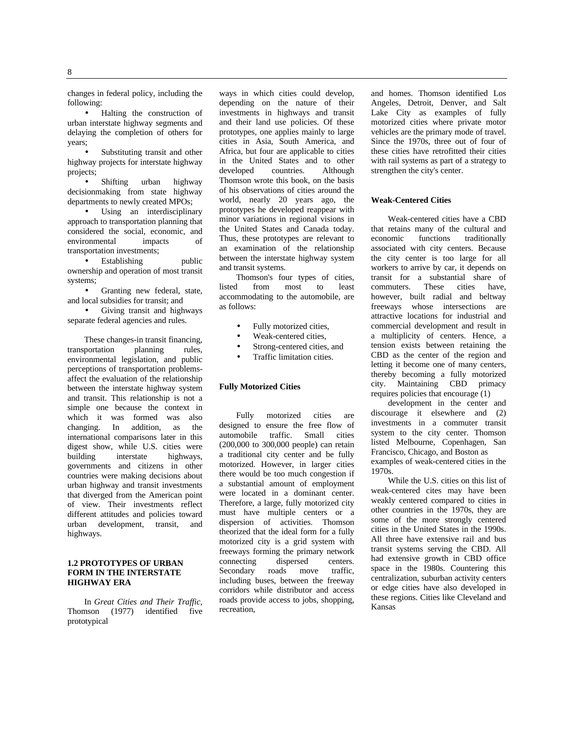changes in federal policy, including the following:

• Halting the construction of urban interstate highway segments and delaying the completion of others for years;

Substituting transit and other highway projects for interstate highway projects;

• Shifting urban highway decisionmaking from state highway departments to newly created MPOs;

• Using an interdisciplinary approach to transportation planning that considered the social, economic, and<br>environmental impacts of environmental transportation investments;

• Establishing public ownership and operation of most transit systems;

• Granting new federal, state, and local subsidies for transit; and

• Giving transit and highways separate federal agencies and rules.

These changes-in transit financing,<br>portation planning rules, transportation planning rules, environmental legislation, and public perceptions of transportation problemsaffect the evaluation of the relationship between the interstate highway system and transit. This relationship is not a simple one because the context in which it was formed was also changing. In addition, as the international comparisons later in this digest show, while U.S. cities were<br>building interstate highways, highways, governments and citizens in other countries were making decisions about urban highway and transit investments that diverged from the American point of view. Their investments reflect different attitudes and policies toward urban development, transit, and highways.

# **1.2 PROTOTYPES OF URBAN FORM IN THE INTERSTATE HIGHWAY ERA**

In *Great Cities and Their Traffic,* Thomson (1977) identified five prototypical

ways in which cities could develop, depending on the nature of their investments in highways and transit and their land use policies. Of these prototypes, one applies mainly to large cities in Asia, South America, and Africa, but four are applicable to cities in the United States and to other developed countries. Although Thomson wrote this book, on the basis of his observations of cities around the world, nearly 20 years ago, the prototypes he developed reappear with minor variations in regional visions in the United States and Canada today. Thus, these prototypes are relevant to an examination of the relationship between the interstate highway system and transit systems.

Thomson's four types of cities, listed from most to least accommodating to the automobile, are as follows:

- Fully motorized cities,
- Weak-centered cities,
- Strong-centered cities, and
- Traffic limitation cities.

# **Fully Motorized Cities**

Fully motorized cities are designed to ensure the free flow of automobile traffic. Small cities (200,000 to 300,000 people) can retain a traditional city center and be fully motorized. However, in larger cities there would be too much congestion if a substantial amount of employment were located in a dominant center. Therefore, a large, fully motorized city must have multiple centers or a dispersion of activities. Thomson theorized that the ideal form for a fully motorized city is a grid system with freeways forming the primary network connecting dispersed centers.<br>Secondary roads move traffic, Secondary roads move including buses, between the freeway corridors while distributor and access roads provide access to jobs, shopping, recreation,

and homes. Thomson identified Los Angeles, Detroit, Denver, and Salt Lake City as examples of fully motorized cities where private motor vehicles are the primary mode of travel. Since the 1970s, three out of four of these cities have retrofitted their cities with rail systems as part of a strategy to strengthen the city's center.

#### **Weak-Centered Cities**

Weak-centered cities have a CBD that retains many of the cultural and<br>economic functions traditionally traditionally associated with city centers. Because the city center is too large for all workers to arrive by car, it depends on transit for a substantial share of commuters. These cities have, commuters. These cities however, built radial and beltway freeways whose intersections are attractive locations for industrial and commercial development and result in a multiplicity of centers. Hence, a tension exists between retaining the CBD as the center of the region and letting it become one of many centers, thereby becoming a fully motorized city. Maintaining CBD primacy requires policies that encourage (1)

development in the center and discourage it elsewhere and (2) investments in a commuter transit system to the city center. Thomson listed Melbourne, Copenhagen, San Francisco, Chicago, and Boston as examples of weak-centered cities in the 1970s.

While the U.S. cities on this list of weak-centered cites may have been weakly centered compared to cities in other countries in the 1970s, they are some of the more strongly centered cities in the United States in the 1990s. All three have extensive rail and bus transit systems serving the CBD. All had extensive growth in CBD office space in the 1980s. Countering this centralization, suburban activity centers or edge cities have also developed in these regions. Cities like Cleveland and Kansas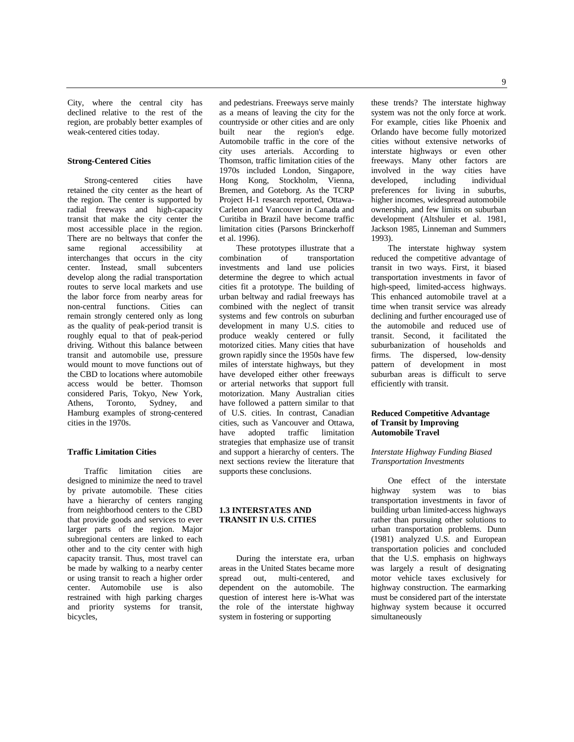City, where the central city has declined relative to the rest of the region, are probably better examples of weak-centered cities today.

#### **Strong-Centered Cities**

Strong-centered cities have retained the city center as the heart of the region. The center is supported by radial freeways and high-capacity transit that make the city center the most accessible place in the region. There are no beltways that confer the<br>same regional accessibility at same regional accessibility at interchanges that occurs in the city center. Instead, small subcenters develop along the radial transportation routes to serve local markets and use the labor force from nearby areas for non-central functions. Cities can remain strongly centered only as long as the quality of peak-period transit is roughly equal to that of peak-period driving. Without this balance between transit and automobile use, pressure would mount to move functions out of the CBD to locations where automobile access would be better. Thomson considered Paris, Tokyo, New York, Athens, Toronto, Sydney, and Hamburg examples of strong-centered cities in the 1970s.

#### **Traffic Limitation Cities**

Traffic limitation cities are designed to minimize the need to travel by private automobile. These cities have a hierarchy of centers ranging from neighborhood centers to the CBD that provide goods and services to ever larger parts of the region. Major subregional centers are linked to each other and to the city center with high capacity transit. Thus, most travel can be made by walking to a nearby center or using transit to reach a higher order center. Automobile use is also restrained with high parking charges and priority systems for transit, bicycles,

and pedestrians. Freeways serve mainly as a means of leaving the city for the countryside or other cities and are only built near the region's edge. Automobile traffic in the core of the city uses arterials. According to Thomson, traffic limitation cities of the 1970s included London, Singapore, Hong Kong, Stockholm, Vienna, Bremen, and Goteborg. As the TCRP Project H-1 research reported, Ottawa-Carleton and Vancouver in Canada and Curitiba in Brazil have become traffic limitation cities (Parsons Brinckerhoff et al. 1996).

These prototypes illustrate that a<br>combination of transportation of transportation investments and land use policies determine the degree to which actual cities fit a prototype. The building of urban beltway and radial freeways has combined with the neglect of transit systems and few controls on suburban development in many U.S. cities to produce weakly centered or fully motorized cities. Many cities that have grown rapidly since the 1950s have few miles of interstate highways, but they have developed either other freeways or arterial networks that support full motorization. Many Australian cities have followed a pattern similar to that of U.S. cities. In contrast, Canadian cities, such as Vancouver and Ottawa, have adopted traffic limitation strategies that emphasize use of transit and support a hierarchy of centers. The next sections review the literature that supports these conclusions.

#### **1.3 INTERSTATES AND TRANSIT IN U.S. CITIES**

During the interstate era, urban areas in the United States became more spread out, multi-centered, and dependent on the automobile. The question of interest here is-What was the role of the interstate highway system in fostering or supporting

these trends? The interstate highway system was not the only force at work. For example, cities like Phoenix and Orlando have become fully motorized cities without extensive networks of interstate highways or even other freeways. Many other factors are involved in the way cities have developed, including individual preferences for living in suburbs, higher incomes, widespread automobile ownership, and few limits on suburban development (Altshuler et al. 1981, Jackson 1985, Linneman and Summers 1993).

The interstate highway system reduced the competitive advantage of transit in two ways. First, it biased transportation investments in favor of high-speed, limited-access highways. This enhanced automobile travel at a time when transit service was already declining and further encouraged use of the automobile and reduced use of transit. Second, it facilitated the suburbanization of households and firms. The dispersed, low-density pattern of development in most suburban areas is difficult to serve efficiently with transit.

# **Reduced Competitive Advantage of Transit by Improving Automobile Travel**

#### *Interstate Highway Funding Biased Transportation Investments*

One effect of the interstate<br>way system was to bias highway system was to transportation investments in favor of building urban limited-access highways rather than pursuing other solutions to urban transportation problems. Dunn (1981) analyzed U.S. and European transportation policies and concluded that the U.S. emphasis on highways was largely a result of designating motor vehicle taxes exclusively for highway construction. The earmarking must be considered part of the interstate highway system because it occurred simultaneously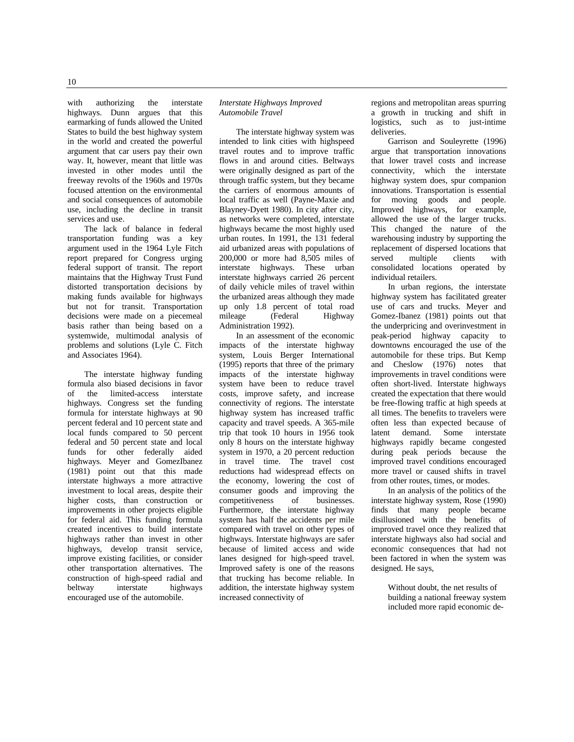with authorizing the interstate highways. Dunn argues that this earmarking of funds allowed the United States to build the best highway system in the world and created the powerful argument that car users pay their own way. It, however, meant that little was invested in other modes until the freeway revolts of the 1960s and 1970s focused attention on the environmental and social consequences of automobile use, including the decline in transit

services and use. The lack of balance in federal transportation funding was a key argument used in the 1964 Lyle Fitch report prepared for Congress urging federal support of transit. The report maintains that the Highway Trust Fund distorted transportation decisions by making funds available for highways but not for transit. Transportation decisions were made on a piecemeal basis rather than being based on a systemwide, multimodal analysis of problems and solutions (Lyle C. Fitch and Associates 1964).

The interstate highway funding formula also biased decisions in favor of the limited-access interstate highways. Congress set the funding formula for interstate highways at 90 percent federal and 10 percent state and local funds compared to 50 percent federal and 50 percent state and local funds for other federally aided highways. Meyer and GomezIbanez (1981) point out that this made interstate highways a more attractive investment to local areas, despite their higher costs, than construction or improvements in other projects eligible for federal aid. This funding formula created incentives to build interstate highways rather than invest in other highways, develop transit service, improve existing facilities, or consider other transportation alternatives. The construction of high-speed radial and beltway interstate highways encouraged use of the automobile.

#### *Interstate Highways Improved Automobile Travel*

The interstate highway system was intended to link cities with highspeed travel routes and to improve traffic flows in and around cities. Beltways were originally designed as part of the through traffic system, but they became the carriers of enormous amounts of local traffic as well (Payne-Maxie and Blayney-Dyett 1980). In city after city, as networks were completed, interstate highways became the most highly used urban routes. In 1991, the 131 federal aid urbanized areas with populations of 200,000 or more had 8,505 miles of interstate highways. These urban interstate highways carried 26 percent of daily vehicle miles of travel within the urbanized areas although they made up only 1.8 percent of total road mileage (Federal Highway Administration 1992).

In an assessment of the economic impacts of the interstate highway system, Louis Berger International (1995) reports that three of the primary impacts of the interstate highway system have been to reduce travel costs, improve safety, and increase connectivity of regions. The interstate highway system has increased traffic capacity and travel speeds. A 365-mile trip that took 10 hours in 1956 took only 8 hours on the interstate highway system in 1970, a 20 percent reduction in travel time. The travel cost reductions had widespread effects on the economy, lowering the cost of consumer goods and improving the<br>competitiveness of businesses. competitiveness Furthermore, the interstate highway system has half the accidents per mile compared with travel on other types of highways. Interstate highways are safer because of limited access and wide lanes designed for high-speed travel. Improved safety is one of the reasons that trucking has become reliable. In addition, the interstate highway system increased connectivity of

regions and metropolitan areas spurring a growth in trucking and shift in logistics, such as to just-intime deliveries.

Garrison and Souleyrette (1996) argue that transportation innovations that lower travel costs and increase connectivity, which the interstate highway system does, spur companion innovations. Transportation is essential for moving goods and people. Improved highways, for example, allowed the use of the larger trucks. This changed the nature of the warehousing industry by supporting the replacement of dispersed locations that<br>served multiple clients with multiple consolidated locations operated by individual retailers.

In urban regions, the interstate highway system has facilitated greater use of cars and trucks. Meyer and Gomez-Ibanez (1981) points out that the underpricing and overinvestment in peak-period highway capacity to downtowns encouraged the use of the automobile for these trips. But Kemp and Cheslow (1976) notes that improvements in travel conditions were often short-lived. Interstate highways created the expectation that there would be free-flowing traffic at high speeds at all times. The benefits to travelers were often less than expected because of latent demand. Some interstate highways rapidly became congested during peak periods because the improved travel conditions encouraged more travel or caused shifts in travel from other routes, times, or modes.

In an analysis of the politics of the interstate highway system, Rose (1990) finds that many people became disillusioned with the benefits of improved travel once they realized that interstate highways also had social and economic consequences that had not been factored in when the system was designed. He says,

> Without doubt, the net results of building a national freeway system included more rapid economic de-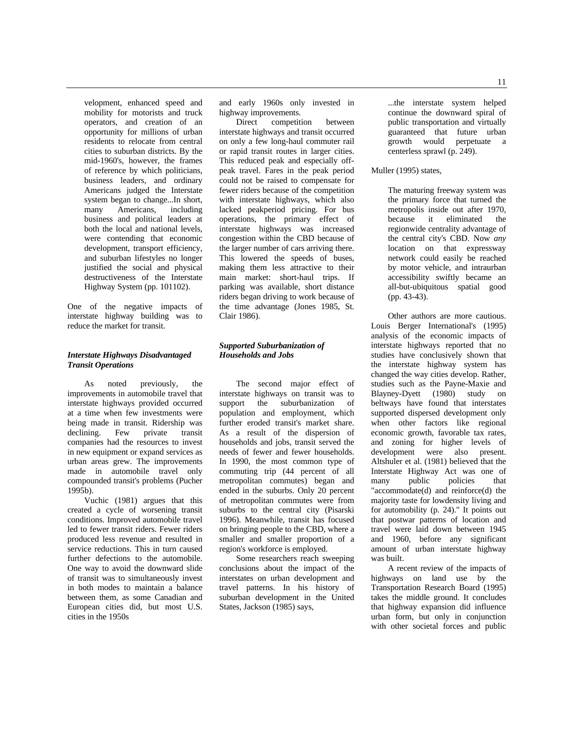11

velopment, enhanced speed and mobility for motorists and truck operators, and creation of an opportunity for millions of urban residents to relocate from central cities to suburban districts. By the mid-1960's, however, the frames of reference by which politicians, business leaders, and ordinary Americans judged the Interstate system began to change...In short, many Americans, including business and political leaders at both the local and national levels, were contending that economic development, transport efficiency, and suburban lifestyles no longer justified the social and physical destructiveness of the Interstate Highway System (pp. 101102).

One of the negative impacts of interstate highway building was to reduce the market for transit.

# *Interstate Highways Disadvantaged Transit Operations*

As noted previously, the improvements in automobile travel that interstate highways provided occurred at a time when few investments were being made in transit. Ridership was declining. Few private transit companies had the resources to invest in new equipment or expand services as urban areas grew. The improvements made in automobile travel only compounded transit's problems (Pucher 1995b).

Vuchic (1981) argues that this created a cycle of worsening transit conditions. Improved automobile travel led to fewer transit riders. Fewer riders produced less revenue and resulted in service reductions. This in turn caused further defections to the automobile. One way to avoid the downward slide of transit was to simultaneously invest in both modes to maintain a balance between them, as some Canadian and European cities did, but most U.S. cities in the 1950s

and early 1960s only invested in highway improvements.

Direct competition between interstate highways and transit occurred on only a few long-haul commuter rail or rapid transit routes in larger cities. This reduced peak and especially offpeak travel. Fares in the peak period could not be raised to compensate for fewer riders because of the competition with interstate highways, which also lacked peakperiod pricing. For bus operations, the primary effect of interstate highways was increased congestion within the CBD because of the larger number of cars arriving there. This lowered the speeds of buses, making them less attractive to their main market: short-haul trips. If parking was available, short distance riders began driving to work because of the time advantage (Jones 1985, St. Clair 1986).

# *Supported Suburbanization of Households and Jobs*

The second major effect of interstate highways on transit was to support the suburbanization of population and employment, which further eroded transit's market share. As a result of the dispersion of households and jobs, transit served the needs of fewer and fewer households. In 1990, the most common type of commuting trip (44 percent of all metropolitan commutes) began and ended in the suburbs. Only 20 percent of metropolitan commutes were from suburbs to the central city (Pisarski 1996). Meanwhile, transit has focused on bringing people to the CBD, where a smaller and smaller proportion of a region's workforce is employed.

Some researchers reach sweeping conclusions about the impact of the interstates on urban development and travel patterns. In his history of suburban development in the United States, Jackson (1985) says,

...the interstate system helped continue the downward spiral of public transportation and virtually guaranteed that future urban growth would perpetuate a centerless sprawl (p. 249).

# Muller (1995) states,

The maturing freeway system was the primary force that turned the metropolis inside out after 1970, because it eliminated the regionwide centrality advantage of the central city's CBD. Now *any* location on that expressway network could easily be reached by motor vehicle, and intraurban accessibility swiftly became an all-but-ubiquitous spatial good (pp. 43-43).

Other authors are more cautious. Louis Berger International's (1995) analysis of the economic impacts of interstate highways reported that no studies have conclusively shown that the interstate highway system has changed the way cities develop. Rather, studies such as the Payne-Maxie and Blayney-Dyett (1980) study on beltways have found that interstates supported dispersed development only when other factors like regional economic growth, favorable tax rates, and zoning for higher levels of development were also present. Altshuler et al. (1981) believed that the Interstate Highway Act was one of<br>many public policies that many public policies that "accommodate(d) and reinforce(d) the majority taste for lowdensity living and for automobility (p. 24)." It points out that postwar patterns of location and travel were laid down between 1945 and 1960, before any significant amount of urban interstate highway was built.

A recent review of the impacts of highways on land use by the Transportation Research Board (1995) takes the middle ground. It concludes that highway expansion did influence urban form, but only in conjunction with other societal forces and public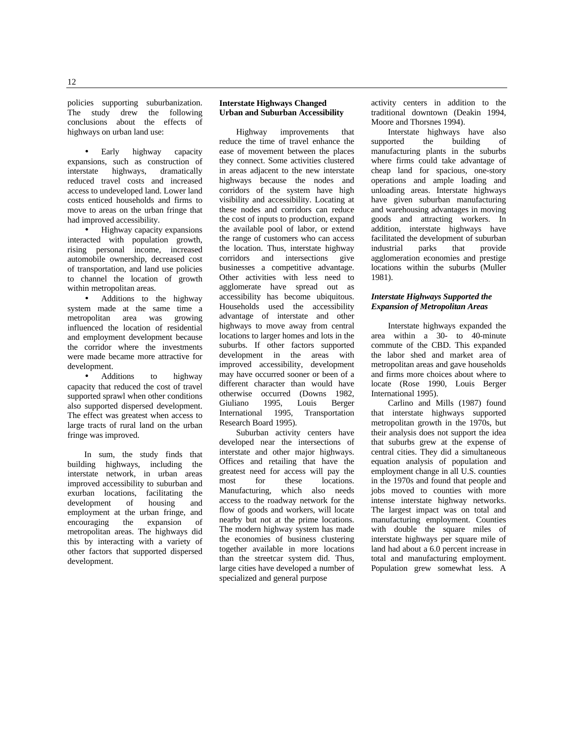• Early highway capacity expansions, such as construction of interstate highways, dramatically reduced travel costs and increased access to undeveloped land. Lower land costs enticed households and firms to move to areas on the urban fringe that had improved accessibility.

• Highway capacity expansions interacted with population growth, rising personal income, increased automobile ownership, decreased cost of transportation, and land use policies to channel the location of growth within metropolitan areas.

• Additions to the highway system made at the same time a<br>metropolitan area was growing metropolitan area was influenced the location of residential and employment development because the corridor where the investments were made became more attractive for development.

• Additions to highway capacity that reduced the cost of travel supported sprawl when other conditions also supported dispersed development. The effect was greatest when access to large tracts of rural land on the urban fringe was improved.

In sum, the study finds that building highways, including the interstate network, in urban areas improved accessibility to suburban and exurban locations, facilitating the development of housing and employment at the urban fringe, and encouraging the expansion of metropolitan areas. The highways did this by interacting with a variety of other factors that supported dispersed development.

#### **Interstate Highways Changed Urban and Suburban Accessibility**

Highway improvements that reduce the time of travel enhance the ease of movement between the places they connect. Some activities clustered in areas adjacent to the new interstate highways because the nodes and corridors of the system have high visibility and accessibility. Locating at these nodes and corridors can reduce the cost of inputs to production, expand the available pool of labor, or extend the range of customers who can access the location. Thus, interstate highway corridors and intersections give businesses a competitive advantage. Other activities with less need to agglomerate have spread out as accessibility has become ubiquitous. Households used the accessibility advantage of interstate and other highways to move away from central locations to larger homes and lots in the suburbs. If other factors supported development in the areas with improved accessibility, development may have occurred sooner or been of a different character than would have otherwise occurred (Downs 1982, Giuliano 1995, Louis Berger International 1995, Transportation Research Board 1995).

Suburban activity centers have developed near the intersections of interstate and other major highways. Offices and retailing that have the greatest need for access will pay the<br>most for these locations. most for these locations.<br>Manufacturing which also needs which also needs access to the roadway network for the flow of goods and workers, will locate nearby but not at the prime locations. The modern highway system has made the economies of business clustering together available in more locations than the streetcar system did. Thus, large cities have developed a number of specialized and general purpose

activity centers in addition to the traditional downtown (Deakin 1994, Moore and Thorsnes 1994).

Interstate highways have also<br>orted the building of supported the building of manufacturing plants in the suburbs where firms could take advantage of cheap land for spacious, one-story operations and ample loading and unloading areas. Interstate highways have given suburban manufacturing and warehousing advantages in moving goods and attracting workers. In addition, interstate highways have facilitated the development of suburban<br>industrial parks that provide industrial agglomeration economies and prestige locations within the suburbs (Muller 1981).

# *Interstate Highways Supported the Expansion of Metropolitan Areas*

Interstate highways expanded the area within a 30- to 40-minute commute of the CBD. This expanded the labor shed and market area of metropolitan areas and gave households and firms more choices about where to locate (Rose 1990, Louis Berger International 1995).

Carlino and Mills (1987) found that interstate highways supported metropolitan growth in the 1970s, but their analysis does not support the idea that suburbs grew at the expense of central cities. They did a simultaneous equation analysis of population and employment change in all U.S. counties in the 1970s and found that people and jobs moved to counties with more intense interstate highway networks. The largest impact was on total and manufacturing employment. Counties with double the square miles of interstate highways per square mile of land had about a 6.0 percent increase in total and manufacturing employment. Population grew somewhat less. A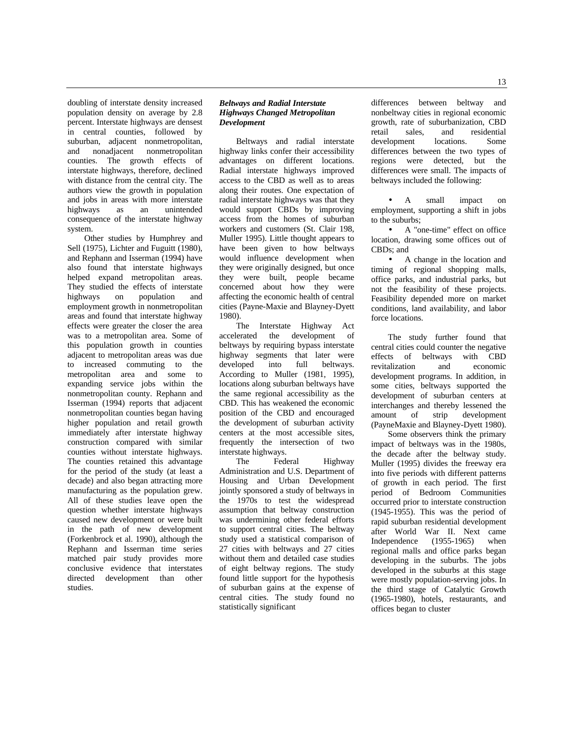doubling of interstate density increased population density on average by 2.8 percent. Interstate highways are densest in central counties, followed by suburban, adjacent nonmetropolitan, and nonadjacent nonmetropolitan counties. The growth effects of interstate highways, therefore, declined with distance from the central city. The authors view the growth in population and jobs in areas with more interstate highways as an unintended consequence of the interstate highway system.

Other studies by Humphrey and Sell (1975), Lichter and Fuguitt (1980), and Rephann and Isserman (1994) have also found that interstate highways helped expand metropolitan areas. They studied the effects of interstate highways on population and employment growth in nonmetropolitan areas and found that interstate highway effects were greater the closer the area was to a metropolitan area. Some of this population growth in counties adjacent to metropolitan areas was due to increased commuting to the metropolitan area and some to expanding service jobs within the nonmetropolitan county. Rephann and Isserman (1994) reports that adjacent nonmetropolitan counties began having higher population and retail growth immediately after interstate highway construction compared with similar counties without interstate highways. The counties retained this advantage for the period of the study (at least a decade) and also began attracting more manufacturing as the population grew. All of these studies leave open the question whether interstate highways caused new development or were built in the path of new development (Forkenbrock et al. 1990), although the Rephann and Isserman time series matched pair study provides more conclusive evidence that interstates directed development than other studies.

#### *Beltways and Radial Interstate Highways Changed Metropolitan Development*

Beltways and radial interstate highway links confer their accessibility advantages on different locations. Radial interstate highways improved access to the CBD as well as to areas along their routes. One expectation of radial interstate highways was that they would support CBDs by improving access from the homes of suburban workers and customers (St. Clair 198, Muller 1995). Little thought appears to have been given to how beltways would influence development when they were originally designed, but once they were built, people became concerned about how they were affecting the economic health of central cities (Payne-Maxie and Blayney-Dyett 1980).

The Interstate Highway Act accelerated the development of beltways by requiring bypass interstate highway segments that later were developed into full beltways. According to Muller (1981, 1995), locations along suburban beltways have the same regional accessibility as the CBD. This has weakened the economic position of the CBD and encouraged the development of suburban activity centers at the most accessible sites, frequently the intersection of two interstate highways.

The Federal Highway Administration and U.S. Department of Housing and Urban Development jointly sponsored a study of beltways in the 1970s to test the widespread assumption that beltway construction was undermining other federal efforts to support central cities. The beltway study used a statistical comparison of 27 cities with beltways and 27 cities without them and detailed case studies of eight beltway regions. The study found little support for the hypothesis of suburban gains at the expense of central cities. The study found no statistically significant

differences between beltway and nonbeltway cities in regional economic growth, rate of suburbanization, CBD retail sales, and residential development locations. Some differences between the two types of regions were detected, but the differences were small. The impacts of beltways included the following:

A small impact on employment, supporting a shift in jobs to the suburbs;

• A "one-time" effect on office location, drawing some offices out of CBDs; and

• A change in the location and timing of regional shopping malls, office parks, and industrial parks, but not the feasibility of these projects. Feasibility depended more on market conditions, land availability, and labor force locations.

The study further found that central cities could counter the negative effects of beltways with CBD<br>revitalization and economic revitalization development programs. In addition, in some cities, beltways supported the development of suburban centers at interchanges and thereby lessened the amount of strip development (PayneMaxie and Blayney-Dyett 1980).

Some observers think the primary impact of beltways was in the 1980s, the decade after the beltway study. Muller (1995) divides the freeway era into five periods with different patterns of growth in each period. The first period of Bedroom Communities occurred prior to interstate construction (1945-1955). This was the period of rapid suburban residential development after World War II. Next came Independence (1955-1965) when regional malls and office parks began developing in the suburbs. The jobs developed in the suburbs at this stage were mostly population-serving jobs. In the third stage of Catalytic Growth (1965-1980), hotels, restaurants, and offices began to cluster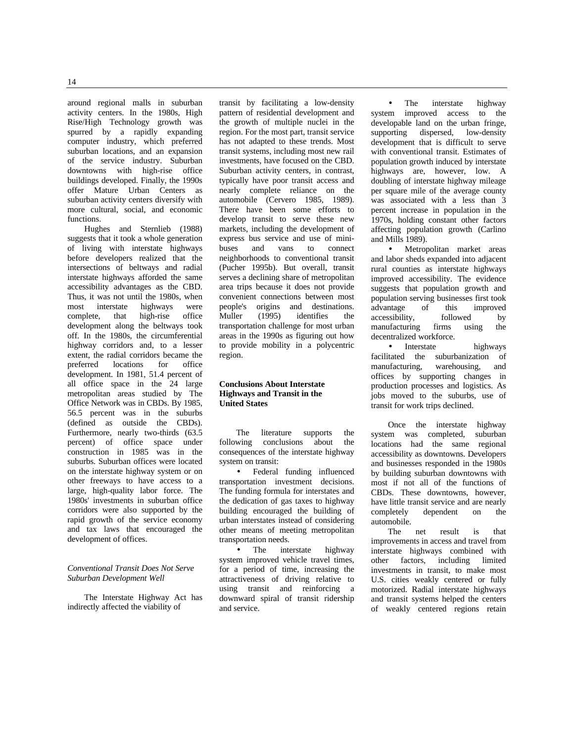around regional malls in suburban activity centers. In the 1980s, High Rise/High Technology growth was spurred by a rapidly expanding computer industry, which preferred suburban locations, and an expansion of the service industry. Suburban downtowns with high-rise office buildings developed. Finally, the 1990s offer Mature Urban Centers as suburban activity centers diversify with more cultural, social, and economic functions.

Hughes and Sternlieb (1988) suggests that it took a whole generation of living with interstate highways before developers realized that the intersections of beltways and radial interstate highways afforded the same accessibility advantages as the CBD. Thus, it was not until the 1980s, when most interstate highways were complete, that high-rise office development along the beltways took off. In the 1980s, the circumferential highway corridors and, to a lesser extent, the radial corridors became the<br>preferred locations for office locations for office development. In 1981, 51.4 percent of all office space in the 24 large metropolitan areas studied by The Office Network was in CBDs. By 1985, 56.5 percent was in the suburbs (defined as outside the CBDs). Furthermore, nearly two-thirds (63.5 percent) of office space under construction in 1985 was in the suburbs. Suburban offices were located on the interstate highway system or on other freeways to have access to a large, high-quality labor force. The 1980s' investments in suburban office corridors were also supported by the rapid growth of the service economy and tax laws that encouraged the development of offices.

#### *Conventional Transit Does Not Serve Suburban Development Well*

The Interstate Highway Act has indirectly affected the viability of

transit by facilitating a low-density pattern of residential development and the growth of multiple nuclei in the region. For the most part, transit service has not adapted to these trends. Most transit systems, including most new rail investments, have focused on the CBD. Suburban activity centers, in contrast, typically have poor transit access and nearly complete reliance on the automobile (Cervero 1985, 1989). There have been some efforts to develop transit to serve these new markets, including the development of express bus service and use of mini-<br>buses and vans to connect connect neighborhoods to conventional transit (Pucher 1995b). But overall, transit serves a declining share of metropolitan area trips because it does not provide convenient connections between most people's origins and destinations. Muller (1995) identifies the transportation challenge for most urban areas in the 1990s as figuring out how to provide mobility in a polycentric region.

#### **Conclusions About Interstate Highways and Transit in the United States**

The literature supports the following conclusions about the consequences of the interstate highway system on transit:

• Federal funding influenced transportation investment decisions. The funding formula for interstates and the dedication of gas taxes to highway building encouraged the building of urban interstates instead of considering other means of meeting metropolitan transportation needs.

• The interstate highway system improved vehicle travel times, for a period of time, increasing the attractiveness of driving relative to using transit and reinforcing a downward spiral of transit ridership and service.

The interstate highway system improved access to the developable land on the urban fringe, supporting dispersed, low-density development that is difficult to serve with conventional transit. Estimates of population growth induced by interstate highways are, however, low. A doubling of interstate highway mileage per square mile of the average county was associated with a less than 3 percent increase in population in the 1970s, holding constant other factors affecting population growth (Carlino and Mills 1989).

• Metropolitan market areas and labor sheds expanded into adjacent rural counties as interstate highways improved accessibility. The evidence suggests that population growth and population serving businesses first took<br>advantage of this improved advantage of this improved accessibility, followed by manufacturing firms using the decentralized workforce.

• Interstate highways facilitated the suburbanization of manufacturing, warehousing, and manufacturing, warehousing, and offices by supporting changes in production processes and logistics. As jobs moved to the suburbs, use of transit for work trips declined.

Once the interstate highway system was completed, suburban locations had the same regional accessibility as downtowns. Developers and businesses responded in the 1980s by building suburban downtowns with most if not all of the functions of CBDs. These downtowns, however, have little transit service and are nearly completely dependent on the automobile.

The net result is that improvements in access and travel from interstate highways combined with other factors, including limited investments in transit, to make most U.S. cities weakly centered or fully motorized. Radial interstate highways and transit systems helped the centers of weakly centered regions retain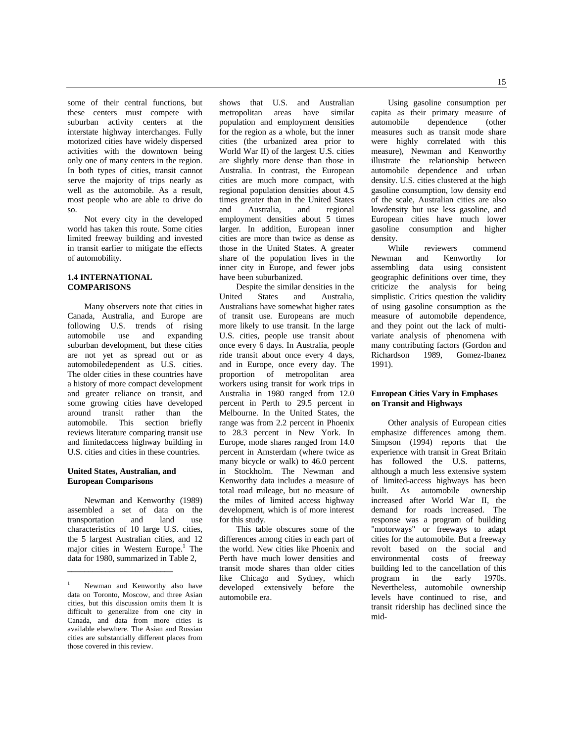some of their central functions, but these centers must compete with suburban activity centers at the interstate highway interchanges. Fully motorized cities have widely dispersed activities with the downtown being only one of many centers in the region. In both types of cities, transit cannot serve the majority of trips nearly as well as the automobile. As a result, most people who are able to drive do so.

Not every city in the developed world has taken this route. Some cities limited freeway building and invested in transit earlier to mitigate the effects of automobility.

# **1.4 INTERNATIONAL COMPARISONS**

Many observers note that cities in Canada, Australia, and Europe are following U.S. trends of rising automobile use and expanding suburban development, but these cities are not yet as spread out or as automobiledependent as U.S. cities. The older cities in these countries have a history of more compact development and greater reliance on transit, and some growing cities have developed around transit rather than the automobile. This section briefly reviews literature comparing transit use and limitedaccess highway building in U.S. cities and cities in these countries.

#### **United States, Australian, and European Comparisons**

\_\_\_\_\_\_\_\_\_\_\_\_\_\_\_\_\_\_\_\_\_\_\_\_\_

Newman and Kenworthy (1989) assembled a set of data on the transportation and land use characteristics of 10 large U.S. cities, the 5 largest Australian cities, and 12 major cities in Western Europe.<sup>1</sup> The data for 1980, summarized in Table 2,

shows that U.S. and Australian<br>metropolitan areas have similar areas have similar population and employment densities for the region as a whole, but the inner cities (the urbanized area prior to World War II) of the largest U.S. cities are slightly more dense than those in Australia. In contrast, the European cities are much more compact, with regional population densities about 4.5 times greater than in the United States and Australia, and regional employment densities about 5 times larger. In addition, European inner cities are more than twice as dense as those in the United States. A greater share of the population lives in the inner city in Europe, and fewer jobs have been suburbanized.

Despite the similar densities in the United States and Australia, Australians have somewhat higher rates of transit use. Europeans are much more likely to use transit. In the large U.S. cities, people use transit about once every 6 days. In Australia, people ride transit about once every 4 days, and in Europe, once every day. The proportion of metropolitan area workers using transit for work trips in Australia in 1980 ranged from 12.0 percent in Perth to 29.5 percent in Melbourne. In the United States, the range was from 2.2 percent in Phoenix to 28.3 percent in New York. In Europe, mode shares ranged from 14.0 percent in Amsterdam (where twice as many bicycle or walk) to 46.0 percent in Stockholm. The Newman and Kenworthy data includes a measure of total road mileage, but no measure of the miles of limited access highway development, which is of more interest for this study.

This table obscures some of the differences among cities in each part of the world. New cities like Phoenix and Perth have much lower densities and transit mode shares than older cities like Chicago and Sydney, which developed extensively before the automobile era.

Using gasoline consumption per capita as their primary measure of automobile dependence (other measures such as transit mode share were highly correlated with this measure), Newman and Kenworthy illustrate the relationship between automobile dependence and urban density. U.S. cities clustered at the high gasoline consumption, low density end of the scale, Australian cities are also lowdensity but use less gasoline, and European cities have much lower gasoline consumption and higher

density.<br>While While reviewers commend<br>Newman and Kenworthy for Kenworthy assembling data using consistent geographic definitions over time, they criticize the analysis for being simplistic. Critics question the validity of using gasoline consumption as the measure of automobile dependence, and they point out the lack of multivariate analysis of phenomena with many contributing factors (Gordon and<br>Richardson 1989, Gomez-Ibanez Gomez-Ibanez 1991).

# **European Cities Vary in Emphases on Transit and Highways**

Other analysis of European cities emphasize differences among them. Simpson (1994) reports that the experience with transit in Great Britain has followed the U.S. patterns, although a much less extensive system of limited-access highways has been built. As automobile ownership increased after World War II, the demand for roads increased. The response was a program of building "motorways" or freeways to adapt cities for the automobile. But a freeway revolt based on the social and environmental costs of freeway building led to the cancellation of this program in the early 1970s. Nevertheless, automobile ownership levels have continued to rise, and transit ridership has declined since the mid-

Newman and Kenworthy also have data on Toronto, Moscow, and three Asian cities, but this discussion omits them It is difficult to generalize from one city in Canada, and data from more cities is available elsewhere. The Asian and Russian cities are substantially different places from those covered in this review.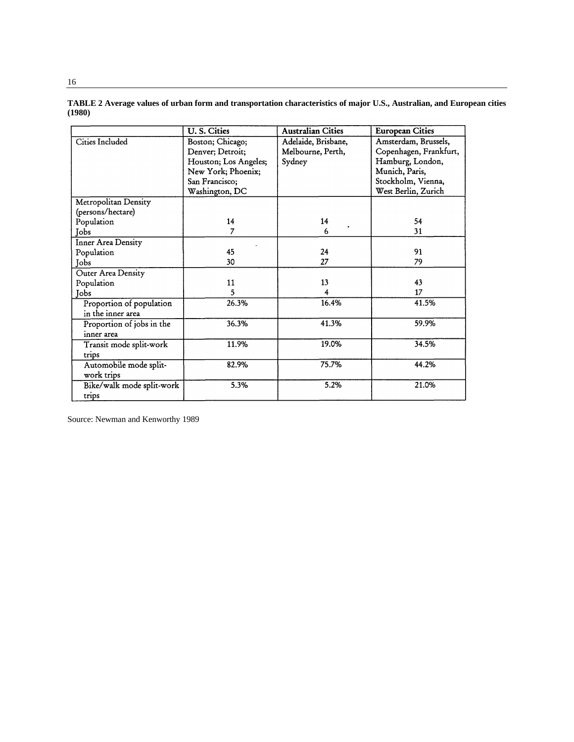|                           | U.S. Cities           | <b>Australian Cities</b> | <b>European Cities</b> |
|---------------------------|-----------------------|--------------------------|------------------------|
| Cities Included           | Boston; Chicago;      | Adelaide, Brisbane,      | Amsterdam, Brussels,   |
|                           | Denver; Detroit;      | Melbourne, Perth,        | Copenhagen, Frankfurt, |
|                           | Houston; Los Angeles; | Sydney                   | Hamburg, London,       |
|                           | New York; Phoenix;    |                          | Munich, Paris,         |
|                           | San Francisco;        |                          | Stockholm, Vienna,     |
|                           | Washington, DC        |                          | West Berlin, Zurich    |
| Metropolitan Density      |                       |                          |                        |
| (persons/hectare)         |                       |                          |                        |
| Population                | 14                    | 14                       | 54                     |
| Jobs                      | $\overline{7}$        | 6                        | 31                     |
| <b>Inner Area Density</b> |                       |                          |                        |
| Population                | 45                    | 24                       | 91                     |
| Jobs                      | 30                    | 27                       | 79                     |
| Outer Area Density        |                       |                          |                        |
| Population                | 11                    | 13                       | 43                     |
| Jobs                      | 5                     | 4                        | 17                     |
| Proportion of population  | 26.3%                 | 16.4%                    | 41.5%                  |
| in the inner area         |                       |                          |                        |
| Proportion of jobs in the | 36.3%                 | 41.3%                    | 59.9%                  |
| inner area                |                       |                          |                        |
| Transit mode split-work   | 11.9%                 | 19.0%                    | 34.5%                  |
| trips                     |                       |                          |                        |
| Automobile mode split-    | 82.9%                 | 75.7%                    | 44.2%                  |
| work trips                |                       |                          |                        |
| Bike/walk mode split-work | 5.3%                  | 5.2%                     | 21.0%                  |
| trips                     |                       |                          |                        |

**TABLE 2 Average values of urban form and transportation characteristics of major U.S., Australian, and European cities (1980)**

Source: Newman and Kenworthy 1989

16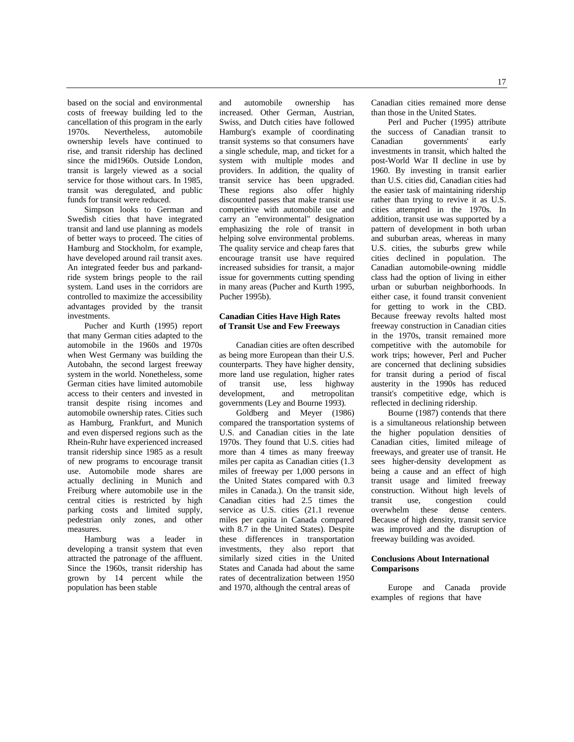based on the social and environmental costs of freeway building led to the cancellation of this program in the early 1970s. Nevertheless, automobile ownership levels have continued to rise, and transit ridership has declined since the mid1960s. Outside London, transit is largely viewed as a social service for those without cars. In 1985, transit was deregulated, and public funds for transit were reduced.

Simpson looks to German and Swedish cities that have integrated transit and land use planning as models of better ways to proceed. The cities of Hamburg and Stockholm, for example, have developed around rail transit axes. An integrated feeder bus and parkandride system brings people to the rail system. Land uses in the corridors are controlled to maximize the accessibility advantages provided by the transit investments.

Pucher and Kurth (1995) report that many German cities adapted to the automobile in the 1960s and 1970s when West Germany was building the Autobahn, the second largest freeway system in the world. Nonetheless, some German cities have limited automobile access to their centers and invested in transit despite rising incomes and automobile ownership rates. Cities such as Hamburg, Frankfurt, and Munich and even dispersed regions such as the Rhein-Ruhr have experienced increased transit ridership since 1985 as a result of new programs to encourage transit use. Automobile mode shares are actually declining in Munich and Freiburg where automobile use in the central cities is restricted by high parking costs and limited supply, pedestrian only zones, and other measures.

Hamburg was a leader in developing a transit system that even attracted the patronage of the affluent. Since the 1960s, transit ridership has grown by 14 percent while the population has been stable

and automobile ownership has increased. Other German, Austrian, Swiss, and Dutch cities have followed Hamburg's example of coordinating transit systems so that consumers have a single schedule, map, and ticket for a system with multiple modes and providers. In addition, the quality of transit service has been upgraded. These regions also offer highly discounted passes that make transit use competitive with automobile use and carry an "environmental" designation emphasizing the role of transit in helping solve environmental problems. The quality service and cheap fares that encourage transit use have required increased subsidies for transit, a major issue for governments cutting spending in many areas (Pucher and Kurth 1995, Pucher 1995b).

# **Canadian Cities Have High Rates of Transit Use and Few Freeways**

Canadian cities are often described as being more European than their U.S. counterparts. They have higher density, more land use regulation, higher rates of transit use, less highway development, and metropolitan governments (Ley and Bourne 1993).

Goldberg and Meyer (1986) compared the transportation systems of U.S. and Canadian cities in the late 1970s. They found that U.S. cities had more than 4 times as many freeway miles per capita as Canadian cities (1.3 miles of freeway per 1,000 persons in the United States compared with 0.3 miles in Canada.). On the transit side, Canadian cities had 2.5 times the service as U.S. cities (21.1 revenue miles per capita in Canada compared with 8.7 in the United States). Despite these differences in transportation investments, they also report that similarly sized cities in the United States and Canada had about the same rates of decentralization between 1950 and 1970, although the central areas of

Canadian cities remained more dense than those in the United States.

Perl and Pucher (1995) attribute the success of Canadian transit to Canadian governments' early investments in transit, which halted the post-World War II decline in use by 1960. By investing in transit earlier than U.S. cities did, Canadian cities had the easier task of maintaining ridership rather than trying to revive it as U.S. cities attempted in the 1970s. In addition, transit use was supported by a pattern of development in both urban and suburban areas, whereas in many U.S. cities, the suburbs grew while cities declined in population. The Canadian automobile-owning middle class had the option of living in either urban or suburban neighborhoods. In either case, it found transit convenient for getting to work in the CBD. Because freeway revolts halted most freeway construction in Canadian cities in the 1970s, transit remained more competitive with the automobile for work trips; however, Perl and Pucher are concerned that declining subsidies for transit during a period of fiscal austerity in the 1990s has reduced transit's competitive edge, which is reflected in declining ridership.

Bourne (1987) contends that there is a simultaneous relationship between the higher population densities of Canadian cities, limited mileage of freeways, and greater use of transit. He sees higher-density development as being a cause and an effect of high transit usage and limited freeway construction. Without high levels of<br>transit use, congestion could congestion overwhelm these dense centers. Because of high density, transit service was improved and the disruption of freeway building was avoided.

# **Conclusions About International Comparisons**

Europe and Canada provide examples of regions that have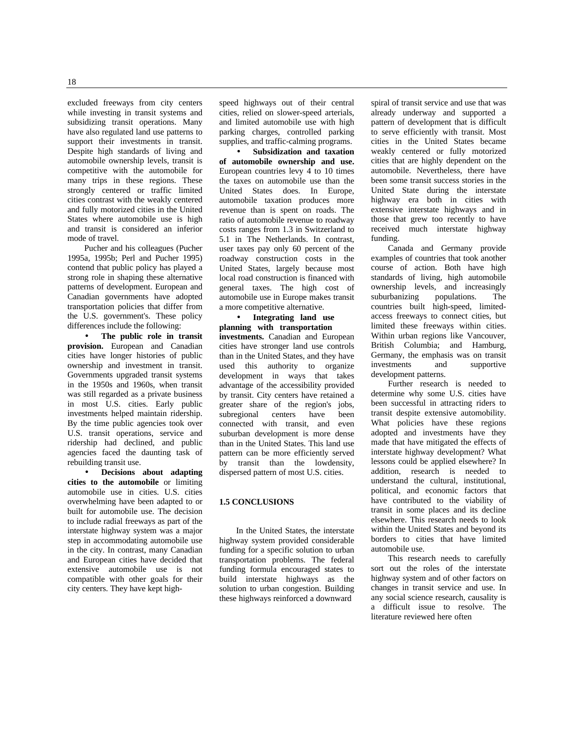excluded freeways from city centers while investing in transit systems and subsidizing transit operations. Many have also regulated land use patterns to support their investments in transit. Despite high standards of living and automobile ownership levels, transit is competitive with the automobile for many trips in these regions. These strongly centered or traffic limited cities contrast with the weakly centered and fully motorized cities in the United States where automobile use is high and transit is considered an inferior mode of travel.

Pucher and his colleagues (Pucher 1995a, 1995b; Perl and Pucher 1995) contend that public policy has played a strong role in shaping these alternative patterns of development. European and Canadian governments have adopted transportation policies that differ from the U.S. government's. These policy differences include the following:

• **The public role in transit provision.** European and Canadian cities have longer histories of public ownership and investment in transit. Governments upgraded transit systems in the 1950s and 1960s, when transit was still regarded as a private business in most U.S. cities. Early public investments helped maintain ridership. By the time public agencies took over U.S. transit operations, service and ridership had declined, and public agencies faced the daunting task of rebuilding transit use.

• **Decisions about adapting cities to the automobile** or limiting automobile use in cities. U.S. cities overwhelming have been adapted to or built for automobile use. The decision to include radial freeways as part of the interstate highway system was a major step in accommodating automobile use in the city. In contrast, many Canadian and European cities have decided that extensive automobile use is not compatible with other goals for their city centers. They have kept highspeed highways out of their central cities, relied on slower-speed arterials, and limited automobile use with high parking charges, controlled parking supplies, and traffic-calming programs.

• **Subsidization and taxation of automobile ownership and use.** European countries levy 4 to 10 times the taxes on automobile use than the United States does. In Europe, automobile taxation produces more revenue than is spent on roads. The ratio of automobile revenue to roadway costs ranges from 1.3 in Switzerland to 5.1 in The Netherlands. In contrast, user taxes pay only 60 percent of the roadway construction costs in the United States, largely because most local road construction is financed with general taxes. The high cost of automobile use in Europe makes transit a more competitive alternative.

• **Integrating land use planning with transportation investments.** Canadian and European cities have stronger land use controls than in the United States, and they have used this authority to organize development in ways that takes advantage of the accessibility provided by transit. City centers have retained a greater share of the region's jobs, subregional centers have been connected with transit, and even suburban development is more dense than in the United States. This land use pattern can be more efficiently served by transit than the lowdensity, dispersed pattern of most U.S. cities.

#### **1.5 CONCLUSIONS**

In the United States, the interstate highway system provided considerable funding for a specific solution to urban transportation problems. The federal funding formula encouraged states to build interstate highways as the solution to urban congestion. Building these highways reinforced a downward

spiral of transit service and use that was already underway and supported a pattern of development that is difficult to serve efficiently with transit. Most cities in the United States became weakly centered or fully motorized cities that are highly dependent on the automobile. Nevertheless, there have been some transit success stories in the United State during the interstate highway era both in cities with extensive interstate highways and in those that grew too recently to have received much interstate highway funding.

Canada and Germany provide examples of countries that took another course of action. Both have high standards of living, high automobile ownership levels, and increasingly suburbanizing populations. The countries built high-speed, limitedaccess freeways to connect cities, but limited these freeways within cities. Within urban regions like Vancouver, British Columbia; and Hamburg, Germany, the emphasis was on transit investments and supportive development patterns.

Further research is needed to determine why some U.S. cities have been successful in attracting riders to transit despite extensive automobility. What policies have these regions adopted and investments have they made that have mitigated the effects of interstate highway development? What lessons could be applied elsewhere? In addition, research is needed to understand the cultural, institutional, political, and economic factors that have contributed to the viability of transit in some places and its decline elsewhere. This research needs to look within the United States and beyond its borders to cities that have limited automobile use.

This research needs to carefully sort out the roles of the interstate highway system and of other factors on changes in transit service and use. In any social science research, causality is a difficult issue to resolve. The literature reviewed here often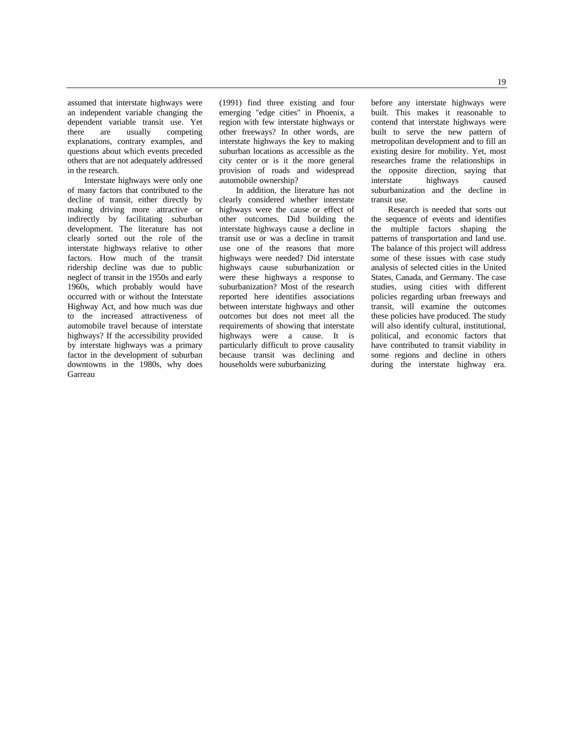assumed that interstate highways were an independent variable changing the dependent variable transit use. Yet there are usually competing explanations, contrary examples, and questions about which events preceded others that are not adequately addressed in the research.

Interstate highways were only one of many factors that contributed to the decline of transit, either directly by making driving more attractive or indirectly by facilitating suburban development. The literature has not clearly sorted out the role of the interstate highways relative to other factors. How much of the transit ridership decline was due to public neglect of transit in the 1950s and early 1960s, which probably would have occurred with or without the Interstate Highway Act, and how much was due to the increased attractiveness of automobile travel because of interstate highways? If the accessibility provided by interstate highways was a primary factor in the development of suburban downtowns in the 1980s, why does Garreau

(1991) find three existing and four emerging "edge cities" in Phoenix, a region with few interstate highways or other freeways? In other words, are interstate highways the key to making suburban locations as accessible as the city center or is it the more general provision of roads and widespread automobile ownership?

In addition, the literature has not clearly considered whether interstate highways were the cause or effect of other outcomes. Did building the interstate highways cause a decline in transit use or was a decline in transit use one of the reasons that more highways were needed? Did interstate highways cause suburbanization or were these highways a response to suburbanization? Most of the research reported here identifies associations between interstate highways and other outcomes but does not meet all the requirements of showing that interstate highways were a cause. It is particularly difficult to prove causality because transit was declining and households were suburbanizing

before any interstate highways were built. This makes it reasonable to contend that interstate highways were built to serve the new pattern of metropolitan development and to fill an existing desire for mobility. Yet, most researches frame the relationships in the opposite direction, saying that interstate highways caused suburbanization and the decline in transit use.

Research is needed that sorts out the sequence of events and identifies the multiple factors shaping the patterns of transportation and land use. The balance of this project will address some of these issues with case study analysis of selected cities in the United States, Canada, and Germany. The case studies, using cities with different policies regarding urban freeways and transit, will examine the outcomes these policies have produced. The study will also identify cultural, institutional, political, and economic factors that have contributed to transit viability in some regions and decline in others during the interstate highway era.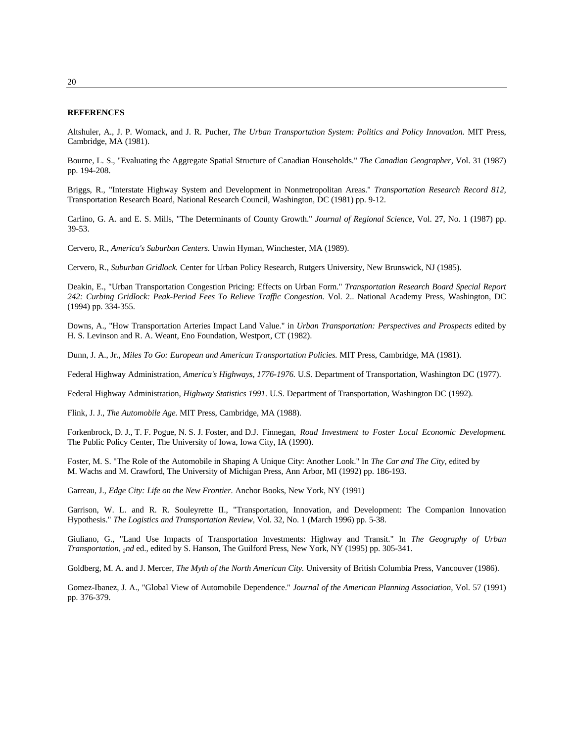#### **REFERENCES**

Altshuler, A., J. P. Womack, and J. R. Pucher, *The Urban Transportation System: Politics and Policy Innovation.* MIT Press, Cambridge, MA (1981).

Bourne, L. S., "Evaluating the Aggregate Spatial Structure of Canadian Households." *The Canadian Geographer,* Vol. 31 (1987) pp. 194-208.

Briggs, R., "Interstate Highway System and Development in Nonmetropolitan Areas." *Transportation Research Record 812,* Transportation Research Board, National Research Council, Washington, DC (1981) pp. 9-12.

Carlino, G. A. and E. S. Mills, "The Determinants of County Growth." *Journal of Regional Science,* Vol. 27, No. 1 (1987) pp. 39-53.

Cervero, R., *America's Suburban Centers.* Unwin Hyman, Winchester, MA (1989).

Cervero, R., *Suburban Gridlock.* Center for Urban Policy Research, Rutgers University, New Brunswick, NJ (1985).

Deakin, E., "Urban Transportation Congestion Pricing: Effects on Urban Form." *Transportation Research Board Special Report 242: Curbing Gridlock: Peak-Period Fees To Relieve Traffic Congestion.* Vol. 2.. National Academy Press, Washington, DC (1994) pp. 334-355.

Downs, A., "How Transportation Arteries Impact Land Value." in *Urban Transportation: Perspectives and Prospects* edited by H. S. Levinson and R. A. Weant, Eno Foundation, Westport, CT (1982).

Dunn, J. A., Jr., *Miles To Go: European and American Transportation Policies.* MIT Press, Cambridge, MA (1981).

Federal Highway Administration, *America's Highways, 1776-1976.* U.S. Department of Transportation, Washington DC (1977).

Federal Highway Administration, *Highway Statistics 1991.* U.S. Department of Transportation, Washington DC (1992).

Flink, J. J., *The Automobile Age.* MIT Press, Cambridge, MA (1988).

Forkenbrock, D. J., T. F. Pogue, N. S. J. Foster, and D.J. Finnegan, *Road Investment to Foster Local Economic Development.* The Public Policy Center, The University of Iowa, Iowa City, IA (1990).

Foster, M. S. "The Role of the Automobile in Shaping A Unique City: Another Look." In *The Car and The City,* edited by M. Wachs and M. Crawford, The University of Michigan Press, Ann Arbor, MI (1992) pp. 186-193.

Garreau, J., *Edge City: Life on the New Frontier.* Anchor Books, New York, NY (1991)

Garrison, W. L. and R. R. Souleyrette II., "Transportation, Innovation, and Development: The Companion Innovation Hypothesis." *The Logistics and Transportation Review,* Vol. 32, No. 1 (March 1996) pp. 5-38.

Giuliano, G., "Land Use Impacts of Transportation Investments: Highway and Transit." In *The Geography of Urban Transportation, 2nd* ed., edited by S. Hanson, The Guilford Press, New York, NY (1995) pp. 305-341.

Goldberg, M. A. and J. Mercer, *The Myth of the North American City.* University of British Columbia Press, Vancouver (1986).

Gomez-Ibanez, J. A., "Global View of Automobile Dependence." *Journal of the American Planning Association,* Vol. 57 (1991) pp. 376-379.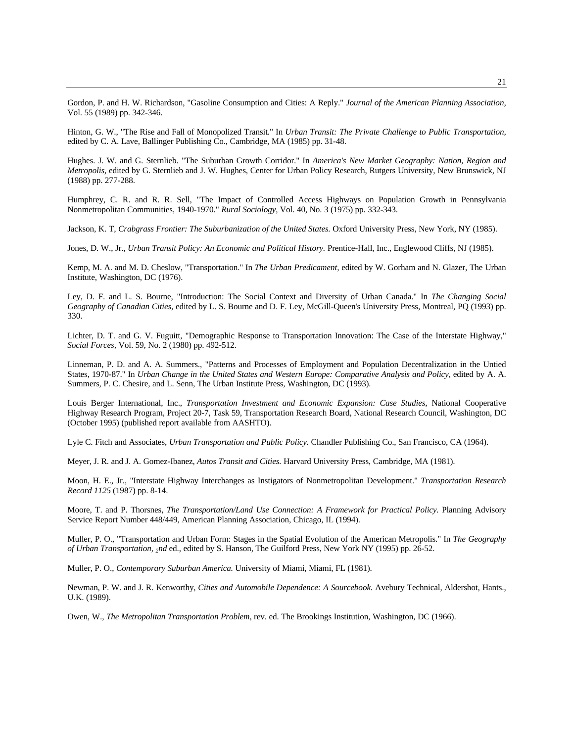Gordon, P. and H. W. Richardson, "Gasoline Consumption and Cities: A Reply." *Journal of the American Planning Association,* Vol. 55 (1989) pp. 342-346.

Hinton, G. W., "The Rise and Fall of Monopolized Transit." In *Urban Transit: The Private Challenge to Public Transportation,* edited by C. A. Lave, Ballinger Publishing Co., Cambridge, MA (1985) pp. 31-48.

Hughes. J. W. and G. Sternlieb. "The Suburban Growth Corridor." In *America's New Market Geography: Nation, Region and Metropolis,* edited by G. Sternlieb and J. W. Hughes, Center for Urban Policy Research, Rutgers University, New Brunswick, NJ (1988) pp. 277-288.

Humphrey, C. R. and R. R. Sell, "The Impact of Controlled Access Highways on Population Growth in Pennsylvania Nonmetropolitan Communities, 1940-1970." *Rural Sociology,* Vol. 40, No. 3 (1975) pp. 332-343.

Jackson, K. T, *Crabgrass Frontier: The Suburbanization of the United States.* Oxford University Press, New York, NY (1985).

Jones, D. W., Jr., *Urban Transit Policy: An Economic and Political History*. Prentice-Hall, Inc., Englewood Cliffs, NJ (1985).

Kemp, M. A. and M. D. Cheslow, "Transportation." In *The Urban Predicament,* edited by W. Gorham and N. Glazer, The Urban Institute, Washington, DC (1976).

Ley, D. F. and L. S. Bourne, "Introduction: The Social Context and Diversity of Urban Canada." In *The Changing Social Geography of Canadian Cities,* edited by L. S. Bourne and D. F. Ley, McGill-Queen's University Press, Montreal, PQ (1993) pp. 330.

Lichter, D. T. and G. V. Fuguitt, "Demographic Response to Transportation Innovation: The Case of the Interstate Highway," *Social Forces,* Vol. 59, No. 2 (1980) pp. 492-512.

Linneman, P. D. and A. A. Summers., "Patterns and Processes of Employment and Population Decentralization in the Untied States, 1970-87." In *Urban Change in the United States and Western Europe: Comparative Analysis and Policy*, edited by A. A. Summers, P. C. Chesire, and L. Senn, The Urban Institute Press, Washington, DC (1993).

Louis Berger International, Inc., *Transportation Investment and Economic Expansion: Case Studies,* National Cooperative Highway Research Program, Project 20-7, Task 59, Transportation Research Board, National Research Council, Washington, DC (October 1995) (published report available from AASHTO).

Lyle C. Fitch and Associates, *Urban Transportation and Public Policy.* Chandler Publishing Co., San Francisco, CA (1964).

Meyer, J. R. and J. A. Gomez-Ibanez, *Autos Transit and Cities.* Harvard University Press, Cambridge, MA (1981).

Moon, H. E., Jr., "Interstate Highway Interchanges as Instigators of Nonmetropolitan Development." *Transportation Research Record 1125* (1987) pp. 8-14.

Moore, T. and P. Thorsnes, *The Transportation/Land Use Connection: A Framework for Practical Policy*. Planning Advisory Service Report Number 448/449, American Planning Association, Chicago, IL (1994).

Muller, P. O., "Transportation and Urban Form: Stages in the Spatial Evolution of the American Metropolis." In *The Geography of Urban Transportation, 2nd* ed., edited by S. Hanson, The Guilford Press, New York NY (1995) pp. 26-52.

Muller, P. O., *Contemporary Suburban America.* University of Miami, Miami, FL (1981).

Newman, P. W. and J. R. Kenworthy, *Cities and Automobile Dependence: A Sourcebook.* Avebury Technical, Aldershot, Hants., U.K. (1989).

Owen, W., *The Metropolitan Transportation Problem,* rev. ed. The Brookings Institution, Washington, DC (1966).